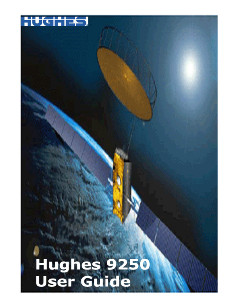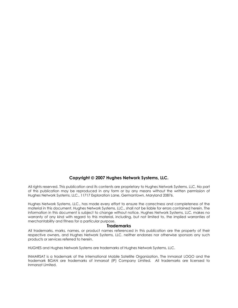#### **Copyright** © **2007 Hughes Network Systems, LLC.**

All rights reserved. This publication and its contents are proprietary to Hughes Network Systems, LLC. No part of this publication may be reproduced in any form or by any means without the written permission of Hughes Network Systems, LLC., 11717 Exploration Lane, Germantown, Maryland 20876.

Hughes Network Systems, LLC., has made every effort to ensure the correctness and completeness of the material in this document. Hughes Network Systems, LLC., shall not be liable for errors contained herein. The information in this document is subject to change without notice. Hughes Network Systems, LLC. makes no warranty of any kind with regard to this material, including, but not limited to, the implied warranties of merchantability and fitness for a particular purpose.

#### **Trademarks**

All trademarks, marks, names, or product names referenced in this publication are the property of their respective owners, and Hughes Network Systems, LLC. neither endorses nor otherwise sponsors any such products or services referred to herein.

HUGHES and Hughes Network Systems are trademarks of Hughes Network Systems, LLC.

INMARSAT is a trademark of the International Mobile Satellite Organization. The Inmarsat LOGO and the trademark BGAN are trademarks of Inmarsat (IP) Company Limited. All trademarks are licensed to Inmarsat Limited.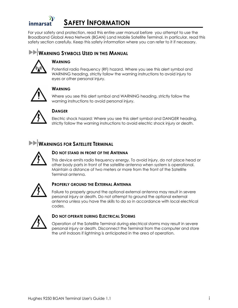# <span id="page-2-0"></span>inmarsat

## **SAFETY INFORMATION**

For your safety and protection, read this entire user manual before you attempt to use the Broadband Global Area Network (BGAN) Land Mobile Satellite Terminal. In particular, read this safety section carefully. Keep this safety information where you can refer to it if necessary.

### **WARNING SYMBOLS USED IN THIS MANUAL**



### **WARNING**

Potential radio Frequency (RF) hazard. Where you see this alert symbol and WARNING heading, strictly follow the warning instructions to avoid injury to eyes or other personal injury.



### **WARNING**

Where you see this alert symbol and WARNING heading, strictly follow the warning instructions to avoid personal injury.



### **DANGER**

Electric shock hazard: Where you see this alert symbol and DANGER heading, strictly follow the warning instructions to avoid electric shock injury or death.

### **WARNINGS FOR SATELLITE TERMINAL**



### **DO NOT STAND IN FRONT OF THE ANTENNA**

This device emits radio frequency energy. To avoid injury, do not place head or other body parts in front of the satellite antenna when system is operational. Maintain a distance of two meters or more from the front of the Satellite Terminal antenna.



### **PROPERLY GROUND THE EXTERNAL ANTENNA**

Failure to properly ground the optional external antenna may result in severe personal injury or death. Do not attempt to ground the optional external antenna unless you have the skills to do so in accordance with local electrical codes.



### **DO NOT OPERATE DURING ELECTRICAL STORMS**

Operation of the Satellite Terminal during electrical storms may result in severe personal injury or death. Disconnect the Terminal from the computer and store the unit indoors if lightning is anticipated in the area of operation.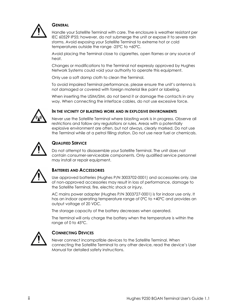

### **GENERAL**

Handle your Satellite Terminal with care. The enclosure is weather resistant per IEC 60529 IP55; however, do not submerge the unit or expose it to severe rain storms. Avoid exposing your Satellite Terminal to extreme hot or cold temperatures outside the range -25ºC to +60ºC.

Avoid placing the Terminal close to cigarettes, open flames or any source of heat.

Changes or modifications to the Terminal not expressly approved by Hughes Network Systems could void your authority to operate this equipment.

Only use a soft damp cloth to clean the Terminal.

To avoid impaired Terminal performance, please ensure the unit's antenna is not damaged or covered with foreign material like paint or labeling.

When inserting the USIM/SIM, do not bend it or damage the contacts in any way. When connecting the interface cables, do not use excessive force.



#### **IN THE VICINITY OF BLASTING WORK AND IN EXPLOSIVE ENVIRONMENTS**

Never use the Satellite Terminal where blasting work is in progress. Observe all restrictions and follow any regulations or rules. Areas with a potentially explosive environment are often, but not always, clearly marked. Do not use the Terminal while at a petrol filling station. Do not use near fuel or chemicals.



#### **QUALIFIED SERVICE**

Do not attempt to disassemble your Satellite Terminal. The unit does not contain consumer-serviceable components. Only qualified service personnel may install or repair equipment.



#### **BATTERIES AND ACCESSORIES**

Use approved batteries (Hughes P/N 3003702-0001) and accessories only. Use of non-approved accessories may result in loss of performance, damage to the Satellite Terminal, fire, electric shock or injury.

AC mains power adapter (Hughes P/N 3003727-0001) is for indoor use only. It has an indoor operating temperature range of 0ºC to +40ºC and provides an output voltage of 20 VDC.

The storage capacity of the battery decreases when operated.

The terminal will only charge the battery when the temperature is within the range of 0 to 45°C.



#### **CONNECTING DEVICES**

Never connect incompatible devices to the Satellite Terminal. When connecting the Satellite Terminal to any other device, read the device's User Manual for detailed safety instructions.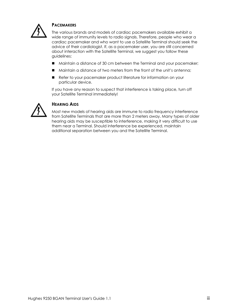

### **PACEMAKERS**

The various brands and models of cardiac pacemakers available exhibit a wide range of immunity levels to radio signals. Therefore, people who wear a cardiac pacemaker and who want to use a Satellite Terminal should seek the advice of their cardiologist. If, as a pacemaker user, you are still concerned about interaction with the Satellite Terminal, we suggest you follow these guidelines:

- Maintain a distance of 30 cm between the Terminal and your pacemaker;
- Maintain a distance of two meters from the front of the unit's antenna;
- Refer to your pacemaker product literature for information on your particular device.

If you have any reason to suspect that interference is taking place, turn off your Satellite Terminal immediately!



### **HEARING AIDS**

Most new models of hearing aids are immune to radio frequency interference from Satellite Terminals that are more than 2 meters away. Many types of older hearing aids may be susceptible to interference, making it very difficult to use them near a Terminal. Should interference be experienced, maintain additional separation between you and the Satellite Terminal.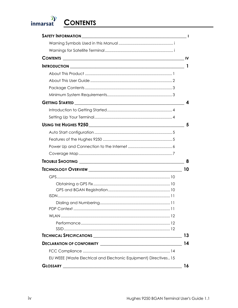<span id="page-5-0"></span>

# **CONTENTS**

|                                                                  | L |
|------------------------------------------------------------------|---|
|                                                                  |   |
|                                                                  |   |
|                                                                  |   |
| 1<br><b>INTRODUCTION</b>                                         |   |
|                                                                  |   |
|                                                                  |   |
|                                                                  |   |
|                                                                  |   |
| <b>GETTING STARTED</b>                                           | 4 |
|                                                                  |   |
|                                                                  |   |
|                                                                  | 5 |
|                                                                  |   |
|                                                                  |   |
|                                                                  |   |
|                                                                  |   |
|                                                                  | 8 |
| 10                                                               |   |
|                                                                  |   |
|                                                                  |   |
|                                                                  |   |
|                                                                  |   |
|                                                                  |   |
|                                                                  |   |
|                                                                  |   |
|                                                                  |   |
|                                                                  |   |
| TECHNICAL SPECIFICATIONS <b>MARKET AND RESIDENT ASSESS</b><br>13 |   |
| 14                                                               |   |
|                                                                  |   |
| EU WEEE (Waste Electrical and Electronic Equipment) Directives15 |   |
| 16                                                               |   |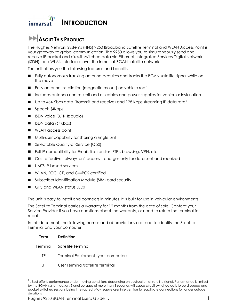<span id="page-6-0"></span>

## **ABOUT THIS PRODUCT**

The Hughes Network Systems (HNS) 9250 Broadband Satellite Terminal and WLAN Access Point is your gateway to global communication. The 9250 allows you to simultaneously send and receive IP packet and circuit-switched data via Ethernet, Integrated Services Digital Network (ISDN), and WLAN interfaces over the Inmarsat BGAN satellite network.

The unit offers you the following features and benefits:

- Fully autonomous tracking antenna acquires and tracks the BGAN satellite signal while on the move
- Easy antenna installation (magnetic mount) on vehicle roof
- Includes antenna control unit and all cables and power supplies for vehicular installation
- Up to 464 Kbps data (transmit and receive) and [1](#page-6-1)28 Kbps streaming IP data rate<sup>1</sup>
- Speech (4Kbps)
- **I** ISDN voice (3.1KHz audio)
- ISDN data (64Kbps)
- **NUAN access point**
- Multi-user capability for sharing a single unit
- Selectable Quality-of-Service (QoS)
- Full IP compatibility for Email, file transfer (FTP), browsing, VPN, etc.
- Cost-effective "always-on" access charges only for data sent and received
- UMTS IP-based services
- **NUMICH** WLAN, FCC, CE, and GMPCS certified
- Subscriber Identification Module (SIM) card security
- GPS and WLAN status LEDs

The unit is easy to install and connects in minutes. It is built for use in vehicular environments.

The Satellite Terminal carries a warranty for 12 months from the date of sale. Contact your Service Provider if you have questions about the warranty, or need to return the terminal for repair.

In this document, the following names and abbreviations are used to identify the Satellite Terminal and your computer.

| Term | Definition                         |
|------|------------------------------------|
|      | Terminal Satellite Terminal        |
| TF.  | Terminal Equipment (your computer) |

 $\overline{a}$ 

UT User Terminal/satellite terminal

<span id="page-6-1"></span> $<sup>1</sup>$ . Best efforts performance under moving conditions depending on obstruction of satellite signal. Performance is limited</sup> by the BGAN system design: Signal outages of more than 3 seconds will cause circuit switched calls to be dropped and packet switched sessions being interrupted. May require user intervention to reactivate connections for longer outage durations

Hughes 9250 BGAN Terminal User's Guide 1.1 1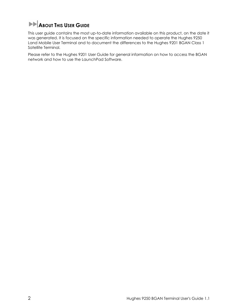# <span id="page-7-0"></span>**ABOUT THIS USER GUIDE**

This user guide contains the most up-to-date information available on this product, on the date it was generated. It is focused on the specific information needed to operate the Hughes 9250 Land Mobile User Terminal and to document the differences to the Hughes 9201 BGAN Class 1 Satellite Terminal.

Please refer to the Hughes 9201 User Guide for general information on how to access the BGAN network and how to use the LaunchPad Software.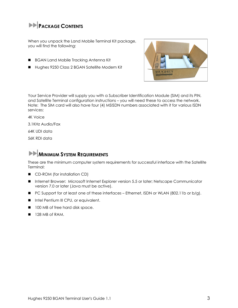## <span id="page-8-0"></span>**PACKAGE CONTENTS**

When you unpack the Land Mobile Terminal Kit package, you will find the following:

- **BGAN Land Mobile Tracking Antenna Kit**
- Hughes 9250 Class 2 BGAN Satellite Modem Kit



Your Service Provider will supply you with a Subscriber Identification Module (SIM) and its PIN, and Satellite Terminal configuration instructions – you will need these to access the network. Note: The SIM card will also have four (4) MSISDN numbers associated with it for various ISDN services:

4K Voice

3.1KHz Audio/Fax

64K UDI data

56K RDI data

## **MINIMUM SYSTEM REQUIREMENTS**

These are the minimum computer system requirements for successful interface with the Satellite Terminal:

- CD-ROM (for installation CD)
- **Internet Browser: Microsoft Internet Explorer version 5.5 or later; Netscape Communicator** version 7.0 or later (Java must be active).
- PC Support for at least one of these interfaces Ethernet, ISDN or WLAN (802.11b or b/q).
- **Intel Pentium III CPU, or equivalent.**
- 100 MB of free hard disk space.
- $128 MB of RAM.$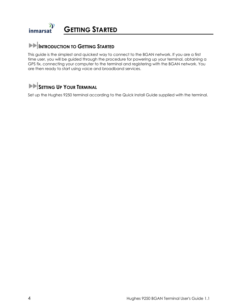#### <span id="page-9-0"></span> $\mathbf y$ **GETTING STARTED** inmarsat

### **INTRODUCTION TO GETTING STARTED**

This guide is the simplest and quickest way to connect to the BGAN network. If you are a first time user, you will be guided through the procedure for powering up your terminal, obtaining a GPS fix, connecting your computer to the terminal and registering with the BGAN network. You are then ready to start using voice and broadband services.

### **SETTING UP YOUR TERMINAL**

Set up the Hughes 9250 terminal according to the Quick Install Guide supplied with the terminal.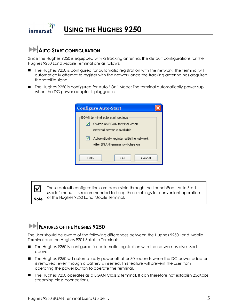<span id="page-10-0"></span>Ж **USING THE HUGHES 9250**  inmarsat

## **AUTO START CONFIGURATION**

Since the Hughes 9250 is equipped with a tracking antenna, the default configurations for the Hughes 9250 Land Mobile Terminal are as follows:

- The Hughes 9250 is configured for automatic registration with the network: The terminal will automatically attempt to register with the network once the tracking antenna has acquired the satellite signal.
- The Hughes 9250 is configured for Auto "On" Mode: The terminal automatically power sup when the DC power adapter is plugged in.

| <b>Configure Auto-Start</b>                                                                       |  |  |  |  |
|---------------------------------------------------------------------------------------------------|--|--|--|--|
| BGAN terminal auto-start settings<br>Switch on BGAN terminal when<br>external power is available. |  |  |  |  |
| Automatically register with the network<br>after BGAN terminal switches on                        |  |  |  |  |
| ОK<br>Cancel<br>Help                                                                              |  |  |  |  |

 $\sqrt{\phantom{a}}$  | These default configurations are accessible through the LaunchPad "Auto Start Mode" menu. It is recommended to keep these settings for convenient operation **Note** of the Hughes 9250 Land Mobile Terminal.

## **FEATURES OF THE HUGHES 9250**

The User should be aware of the following differences between the Hughes 9250 Land Mobile Terminal and the Hughes 9201 Satellite Terminal:

- The Hughes 9250 is configured for automatic registration with the network as discussed above.
- **The Hughes 9250 will automatically power off after 30 seconds when the DC power adapter** is removed, even though a battery is inserted. This feature will prevent the user from operating the power button to operate the terminal.
- The Hughes 9250 operates as a BGAN Class 2 terminal. It can therefore not establish 256Kbps streaming class connections.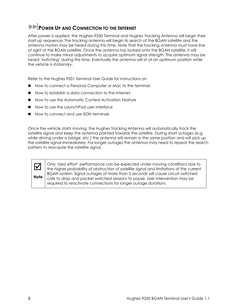## <span id="page-11-0"></span>**POWER UP AND CONNECTION TO THE INTERNET**

After power is applied, the Hughes-9250 Terminal and Hughes Tracking Antenna will begin their start-up sequence. The tracking antenna will begin its search of the BGAN satellite and the antenna motors may be heard during this time. Note that the tracking antenna must have line of sight of the BGAN satellite. Once the antenna has locked onto the BGAN satellite, it will continue to make minor adjustments to acquire optimum signal strength. The antenna may be heard 'twitching' during this time. Eventually the antenna will sit at an optimum position while the vehicle is stationary.

Refer to the Hughes 9201 Terminal User Guide for instructions on

- How to connect a Personal Computer or Mac to the terminal.
- How to establish a data connection to the Internet
- How to use the Automatic Context Activation Feature
- How to use the LaunchPad user interface
- How to connect and use ISDN terminals

Once the vehicle starts moving, the Hughes Tracking Antenna will automatically track the satellite signal and keep the antenna pointed towards the satellite. During short outages (e.g. while driving under a bridge, etc.) the antenna will remain in the same position and will pick up the satellite signal immediately. For longer outages the antenna may need to repeat the search pattern to reacquire the satellite signal.

; Only 'best effort' performance can be expected under moving conditions due to the higher probability of obstruction of satellite signal and limitations of the current BGAN system. Signal outages of more than 3 seconds will cause circuit switched calls to drop and packet switched sessions to pause. User intervention may be required to reactivate connections for longer outage durations

**Note**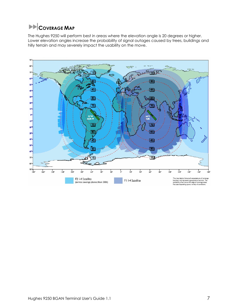# <span id="page-12-0"></span>**EXP**COVERAGE MAP

The Hughes 9250 will perform best in areas where the elevation angle is 20 degrees or higher. Lower elevation angles increase the probability of signal outages caused by trees, buildings and hilly terrain and may severely impact the usability on the move.

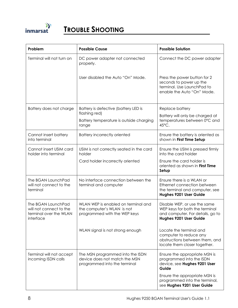<span id="page-13-0"></span>

| Problem                                                                                     | <b>Possible Cause</b>                                                                             | <b>Possible Solution</b>                                                                                                     |
|---------------------------------------------------------------------------------------------|---------------------------------------------------------------------------------------------------|------------------------------------------------------------------------------------------------------------------------------|
| Terminal will not turn on                                                                   | DC power adapter not connected<br>properly.                                                       | Connect the DC power adapter                                                                                                 |
|                                                                                             | User disabled the Auto "On" Mode.                                                                 | Press the power button for 2<br>seconds to power up the<br>terminal. Use LaunchPad to<br>enable the Auto "On" Mode.          |
| Battery does not charge                                                                     | Battery is defective (battery LED is                                                              | Replace battery                                                                                                              |
|                                                                                             | flashing red)<br>Battery temperature is outside charging<br>range                                 | Battery will only be charged at<br>temperatures between 0°C and<br>45°C.                                                     |
| Cannot insert battery<br>into terminal                                                      | <b>Battery incorrectly oriented</b>                                                               | Ensure the battery is oriented as<br>shown in First Time Setup                                                               |
| Cannot insert USIM card<br>holder into terminal                                             | USIM is not correctly seated in the card<br>holder                                                | Ensure the USIM is pressed firmly<br>into the card holder                                                                    |
|                                                                                             | Card holder incorrectly oriented                                                                  | Ensure the card holder is<br>oriented as shown in First Time<br>Setup                                                        |
| The BGAN LaunchPad<br>will not connect to the<br>terminal                                   | No interface connection between the<br>terminal and computer                                      | Ensure there is a WLAN or<br>Ethernet connection between<br>the terminal and computer, see<br>Hughes 9201 User Guide         |
| The BGAN LaunchPad<br>will not connect to the<br>terminal over the WLAN<br><b>interface</b> | WLAN WEP is enabled on terminal and<br>the computer's WLAN is not<br>programmed with the WEP keys | Disable WEP, or use the same<br>WEP keys for both the terminal<br>and computer. For details, go to<br>Hughes 9201 User Guide |
|                                                                                             | WLAN signal is not strong enough                                                                  | Locate the terminal and<br>computer to reduce any<br>obstructions between them, and<br>locate them closer together.          |
| Terminal will not accept<br>incoming ISDN calls                                             | The MSN programmed into the ISDN<br>device does not match the MSN<br>programmed into the terminal | Ensure the appropriate MSN is<br>programmed into the ISDN<br>device, see Hughes 9201 User<br>Guide                           |
|                                                                                             |                                                                                                   | Ensure the appropriate MSN is<br>programmed into the terminal,<br>see Hughes 9201 User Guide                                 |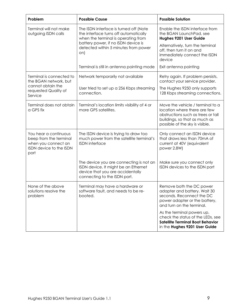| Problem                                                                                                   | <b>Possible Cause</b>                                                                                                                                                                                        | <b>Possible Solution</b>                                                                                                                                                   |
|-----------------------------------------------------------------------------------------------------------|--------------------------------------------------------------------------------------------------------------------------------------------------------------------------------------------------------------|----------------------------------------------------------------------------------------------------------------------------------------------------------------------------|
| Terminal will not make<br>outgoing ISDN calls                                                             | The ISDN interface is turned off (Note<br>the interface turns off automatically<br>when the terminal is operating from<br>battery power, if no ISDN device is<br>detected within 5 minutes from power<br>on) | Enable the ISDN interface from<br>the BGAN LaunchPad, see<br>Hughes 9201 User Guide                                                                                        |
|                                                                                                           |                                                                                                                                                                                                              | Alternatively, turn the terminal<br>off, then turn it on and<br>immediately connect the ISDN<br>device                                                                     |
|                                                                                                           | Terminal is still in antenna pointing mode                                                                                                                                                                   | Exit antenna pointing                                                                                                                                                      |
| Terminal is connected to<br>the BGAN network, but                                                         | Network temporarily not available                                                                                                                                                                            | Retry again. If problem persists,<br>contact your service provider.                                                                                                        |
| cannot obtain the<br>requested Quality of<br>Service                                                      | User tried to set up a 256 Kbps streaming<br>connection.                                                                                                                                                     | The Hughes 9250 only supports<br>128 Kbps streaming connections.                                                                                                           |
| Terminal does not obtain<br>a GPS fix                                                                     | Terminal's location limits visibility of 4 or<br>more GPS satellites.                                                                                                                                        | Move the vehicle / terminal to a<br>location where there are few<br>obstructions such as trees or tall<br>buildings, so that as much as<br>possible of the sky is visible. |
| You hear a continuous<br>beep from the terminal<br>when you connect an<br>ISDN device to the ISDN<br>port | The ISDN device is trying to draw too<br>much power from the satellite terminal's<br><b>ISDN</b> interface                                                                                                   | Only connect an ISDN device<br>that draws less than 70mA of<br>current at 40V (equivalent<br>power 2.8W)                                                                   |
|                                                                                                           | The device you are connecting is not an<br>ISDN device. It might be an Ethernet<br>device that you are accidentally<br>connecting to the ISDN port.                                                          | Make sure you connect only<br>ISDN devices to the ISDN port                                                                                                                |
| None of the above<br>solutions resolve the<br>problem                                                     | Terminal may have a hardware or<br>software fault, and needs to be re-<br>booted.                                                                                                                            | Remove both the DC power<br>adapter and battery. Wait 30<br>seconds. Reconnect the DC<br>power adapter or the battery,<br>and turn on the terminal.                        |
|                                                                                                           |                                                                                                                                                                                                              | As the terminal powers up,<br>check the status of the LEDs, see<br><b>Satellite Terminal Boot Behavior</b><br>in the Hughes 9201 User Guide                                |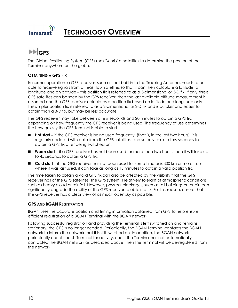<span id="page-15-0"></span>

**GPS** 

The Global Positioning System (GPS) uses 24 orbital satellites to determine the position of the Terminal anywhere on the globe.

#### **OBTAINING A GPS FIX**

In normal operation, a GPS receiver, such as that built in to the Tracking Antenna, needs to be able to receive signals from at least four satellites so that it can then calculate a latitude, a longitude and an altitude – this position fix is referred to as a 3-dimensional or 3-D fix. If only three GPS satellites can be seen by the GPS receiver, then the last available altitude measurement is assumed and the GPS receiver calculates a position fix based on latitude and longitude only. This simpler position fix is referred to as a 2-dimensional or 2-D fix and is quicker and easier to obtain than a 3-D fix, but may be less accurate.

The GPS receiver may take between a few seconds and 20 minutes to obtain a GPS fix, depending on how frequently the GPS receiver is being used. The frequency of use determines the how quickly the GPS Terminal is able to start.

- **Hot start** − if the GPS receiver is being used frequently, (that is, in the last two hours), it is regularly updated with data from the GPS satellites, and so only takes a few seconds to obtain a GPS fix after being switched on.
- Warm start if a GPS receiver has not been used for more than two hours, then it will take up to 45 seconds to obtain a GPS fix.
- Cold start if the GPS receiver has not been used for some time or is 300 km or more from where it was last used, it can take as long as 15 minutes to obtain a valid position fix.

The time taken to obtain a valid GPS fix can also be affected by the visibility that the GPS receiver has of the GPS satellites. The GPS system is relatively tolerant of atmospheric conditions such as heavy cloud or rainfall. However, physical blockages, such as tall buildings or terrain can significantly degrade the ability of the GPS receiver to obtain a fix. For this reason, ensure that the GPS receiver has a clear view of as much open sky as possible.

#### **GPS AND BGAN REGISTRATION**

BGAN uses the accurate position and timing information obtained from GPS to help ensure efficient registration of a BGAN Terminal with the BGAN network.

Following successful registration and providing the Terminal is left switched on and remains stationary, the GPS is no longer needed. Periodically, the BGAN Terminal contacts the BGAN network to inform the network that it is still switched on. In addition, the BGAN network periodically checks each Terminal for activity, and if the Terminal has not automatically contacted the BGAN network as described above, then the Terminal will be de-registered from the network.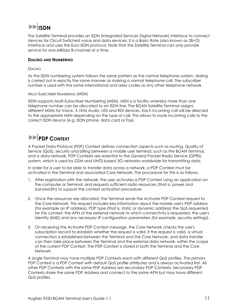# <span id="page-16-0"></span>**ISDN**

The Satellite Terminal provides an ISDN (Integrated Services Digital Network) interface to connect devices for Circuit Switched voice and data services. It is a Basic Rate (also known as 2B+D) interface and uses the Euro ISDN protocol. Note that the Satellite Terminal can only provide service for one 64Kbps B-channel at a time.

#### **DIALING AND NUMBERING**

#### DIALING

As the ISDN numbering system follows the same pattern as the normal telephone system, dialing is carried out in exactly the same manner as making a normal telephone call. The subscriber number is used with the same international and area codes as any other telephone network.

#### MULTI-SUBSCRIBER NUMBERING (MSN)

ISDN supports Multi-Subscriber Numbering (MSN). MSN is a facility whereby more than one telephone number can be allocated to an ISDN line. The BGAN Satellite Terminal assigns different MSNs for Voice, 3.1KHz Audio, UDI and RDI devices. Each incoming call will be directed to the appropriate MSN depending on the type of call. This allows to route incoming calls to the correct ISDN device (e.g. ISDN phone, data card or Fax).

## **PDP CONTEXT**

A Packet Data Protocol (PDP) Context defines connection aspects such as routing, Quality of Service (QoS), security and billing between a mobile user terminal, such as the BGAN Terminal, and a data network. PDP Contexts are essential to the General Packet Radio Service (GPRS) system, which is used by GSM and UMTS-based 3G networks worldwide for transmitting data.

In order for a user to be able to transfer data across a network, a PDP Context must be activated in the Terminal and associated Core Network. The procedure for this is as follows:

- 1. After registration with the network, the user activates a PDP Context using an application on the computer or Terminal, and requests sufficient radio resources (that is, power and bandwidth) to support the context activation procedure.
- 2. Once the resources are allocated, the Terminal sends the Activate PDP Context request to the Core Network. This request includes key information about the mobile user's PDP address (for example an IP address), PDP type (that is, static or dynamic address) the QoS requested for this context, the APN of the external network to which connectivity is requested, the user's identity (IMSI) and any necessary IP configuration parameters (for example, security settings).
- 3. On receiving the Activate PDP Context message, the Core Network checks the user's subscription record to establish whether the request is valid. If the request is valid, a virtual connection is established between the Terminal and the Core Network, and data transfer can then take place between the Terminal and the external data network, within the scope of the current PDP Context. The PDP Context is stored in both the Terminal and the Core Network.

A single Terminal may have multiple PDP Contexts each with different QoS profiles. The primary PDP Context is a PDP Context with default QoS profile attributes and is always activated first. All other PDP Contexts with the same PDP Address are secondary PDP Contexts. Secondary PDP Contexts share the same PDP Address and connect to the same APN but may have different QoS profiles.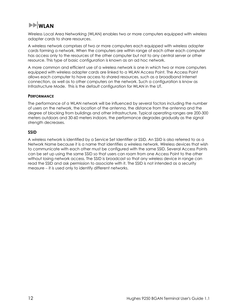# <span id="page-17-0"></span>**WLAN**

Wireless Local Area Networking (WLAN) enables two or more computers equipped with wireless adapter cards to share resources.

A wireless network comprises of two or more computers each equipped with wireless adapter cards forming a network. When the computers are within range of each other each computer has access only to the resources of the other computer but not to any central server or other resource. This type of basic configuration is known as an ad hoc network.

A more common and efficient use of a wireless network is one in which two or more computers equipped with wireless adapter cards are linked to a WLAN Access Point. The Access Point allows each computer to have access to shared resources, such as a broadband Internet connection, as well as to other computers on the network. Such a configuration is know as Infrastructure Mode. This is the default configuration for WLAN in the UT.

#### **PERFORMANCE**

The performance of a WLAN network will be influenced by several factors including the number of users on the network, the location of the antenna, the distance from the antenna and the degree of blocking from buildings and other infrastructure. Typical operating ranges are 200-300 meters outdoors and 30-60 meters indoors, the performance degrades gradually as the signal strength decreases.

#### **SSID**

A wireless network is identified by a Service Set Identifier or SSID. An SSID is also referred to as a Network Name because it is a name that identifies a wireless network. Wireless devices that wish to communicate with each other must be configured with the same SSID. Several Access Points can be set up using the same SSID so that users can roam from one Access Point to the other without losing network access. The SSID is broadcast so that any wireless device in range can read the SSID and ask permission to associate with it. The SSID is not intended as a security measure − it is used only to identify different networks.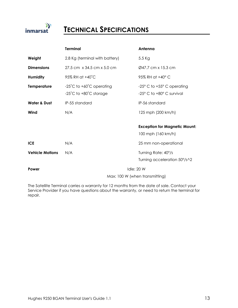<span id="page-18-0"></span>

## **TECHNICAL SPECIFICATIONS**

|                         | <b>Terminal</b>                                                                            | Antenna                                                                   |
|-------------------------|--------------------------------------------------------------------------------------------|---------------------------------------------------------------------------|
| Weight                  | 2.8 Kg (terminal with battery)                                                             | $5.5$ Kg                                                                  |
| <b>Dimensions</b>       | 27.5 cm x 34.5 cm x 5.0 cm                                                                 | Ø47.7 cm x 15.3 cm                                                        |
| <b>Humidity</b>         | 95% RH at +40°C                                                                            | 95% RH at +40° C                                                          |
| <b>Temperature</b>      | $-25^{\circ}$ C to $+60^{\circ}$ C operating<br>$-25^{\circ}$ C to $+80^{\circ}$ C storage | $-25^{\circ}$ C to $+55^{\circ}$ C operating<br>-25° C to +80° C survival |
| <b>Water &amp; Dust</b> | IP-55 standard                                                                             | IP-56 standard                                                            |
| Wind                    | N/A                                                                                        | 125 mph (200 km/h)                                                        |
|                         |                                                                                            | <b>Exception for Magnetic Mount:</b><br>100 mph (160 km/h)                |
| <b>ICE</b>              | N/A                                                                                        | 25 mm non-operational                                                     |
| <b>Vehicle Motions</b>  | N/A                                                                                        | Turning Rate: 40°/s                                                       |
|                         |                                                                                            | Turning acceleration 50°/s^2                                              |
| Power                   | <b>Idle: 20 W</b><br>Max: 100 W (when transmitting)                                        |                                                                           |
|                         |                                                                                            |                                                                           |

The Satellite Terminal carries a warranty for 12 months from the date of sale. Contact your Service Provider if you have questions about the warranty, or need to return the terminal for repair.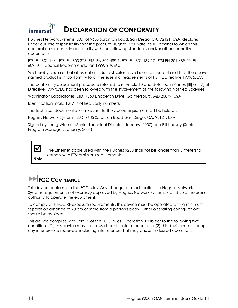<span id="page-19-0"></span>

Hughes Network Systems, LLC, of 9605 Scranton Road, San Diego, CA, 92121, USA, declares under our sole responsibility that the product Hughes 9250 Satellite IP Terminal to which this declaration relates, is in conformity with the following standards and/or other normative documents:

ETSI EN 301 444 , ETSI EN 300 328, ETSI EN 301 489-1, ETSI EN 301 489-17, ETSI EN 301 489-20, EN 60950-1, Council Recommendation 1999/519/EC.

We hereby declare that all essential radio test suites have been carried out and that the above named product is in conformity to all the essential requirements of R&TTE Directive 1999/5/EC.

The conformity assessment procedure referred to in Article 10 and detailed in Annex [III] or [IV] of Directive 1999/5/EC has been followed with the involvement of the following Notified Body(ies):

Washington Laboratories, LTD, 7560 Lindbergh Drive, Gaithersburg, MD 20879, USA

Identification mark: **1317** (Notified Body number).

The technical documentation relevant to the above equipment will be held at:

Hughes Network Systems, LLC, 9605 Scranton Road, San Diego, CA, 92121, USA

Signed by Juerg Widmer (Senior Technical Director, January, 2007) and Bill Lindsay (Senior Program Manager, January, 2005).



 $\blacksquare$  The Ethernet cable used with the Hughes 9250 shall not be longer than 3 meters to comply with ETSI emissions requirements.

## **FCC COMPLIANCE**

This device conforms to the FCC rules. Any changes or modifications to Hughes Network Systems' equipment, not expressly approved by Hughes Network Systems, could void the user's authority to operate the equipment.

To comply with FCC RF exposure requirements, this device must be operated with a minimum separation distance of 20 cm or more from a person's body. Other operating configurations should be avoided.

This device complies with Part 15 of the FCC Rules. Operation is subject to the following two conditions; (1) this device may not cause harmful interference, and (2) this device must accept any interference received, including interference that may cause undesired operation.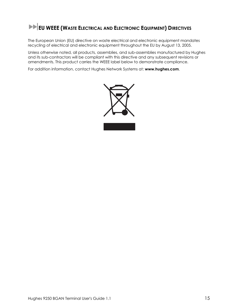# <span id="page-20-0"></span>**EU WEEE (WASTE ELECTRICAL AND ELECTRONIC EQUIPMENT) DIRECTIVES**

The European Union (EU) directive on waste electrical and electronic equipment mandates recycling of electrical and electronic equipment throughout the EU by August 13, 2005.

Unless otherwise noted, all products, assemblies, and sub-assemblies manufactured by Hughes and its sub-contractors will be compliant with this directive and any subsequent revisions or amendments. This product carries the WEEE label below to demonstrate compliance.

For addition information, contact Hughes Network Systems at: **[www.hughes.com](http://www.hughes.com/)**.

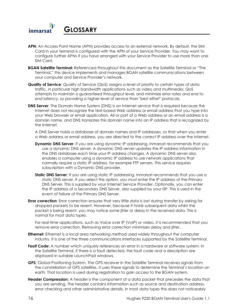<span id="page-21-0"></span>

- **APN**: An Access Point Name (APN) provides access to an external network. By default, the SIM Card in your terminal is configured with the APN of your Service Provider. You may want to configure further APNs if you have arranged with your Service Provider to use more than one SIM Card.
- **BGAN Satellite Terminal:** Referenced throughout this document as the Satellite Terminal or "The Terminal," this device implements and manages BGAN satellite communications between your computer and Service Provider's network.
- **Quality of Service**: Quality of Service (QoS) assigns a level of priority to certain types of data traffic, in particular high bandwidth applications such as video and multimedia. QoS attempts to maintain a guaranteed throughput level, and minimize error rates and end to end latency, so providing a higher level of service than "best effort" protocols.
- **DNS Server:** The Domain Name System (DNS) is an Internet service that is required because the Internet does not recognize the text-based Web address or email address that you type into your Web browser or email application. All or part of a Web address or an email address is a domain name, and DNS translates this domain name into an IP address that is recognized by the Internet.

A DNS Server holds a database of domain names and IP addresses, so that when you enter a Web address or email address, you are directed to the correct IP address over the Internet.

- **Dynamic DNS Server:** If you are using dynamic IP addressing, Inmarsat recommends that you use a dynamic DNS server. A dynamic DNS server updates the IP address information in the DNS database each time your IP address changes. A dynamic DNS server also enables a computer using a dynamic IP address to use network applications that normally require a static IP address, for example FTP servers. This service requires subscription with a Dynamic DNS provider.
- **Static DNS Server:** If you are using static IP addressing, Inmarsat recommends that you use a static DNS server. If you select this option, you must enter the IP address of the Primary DNS Server. This is supplied by your Internet Service Provider. Optionally, you can enter the IP address of a Secondary DNS Server, also supplied by your ISP. This is used in the event of failure of the Primary DNS Server.
- **Error correction**: Error correction ensures that very little data is lost during transfer by asking for dropped packets to be resent. However, because it holds subsequent data whilst the packet is being resent, you may notice some jitter or delay in the received data. This is normal for most data types.

 For real-time applications, such as Voice over IP (VoIP) or video, it is recommended that you remove error correction. Removing error correction minimizes delay and jitter..

- **Ethernet:** Ethernet is a local area networking method used widely throughout the computer industry. It is one of the three communications interfaces supported by the Satellite Terminal.
- **Fault Code:** A number which uniquely references an error in a hardware or software system. In the Satellite Terminal, if there is a fault detected, the fault code and a description are displayed in suitable LaunchPad windows.
- **GPS:** Global Positioning System. The GPS receiver in the Satellite Terminal receives signals from the constellation of GPS satellites. It uses these signals to determine the Terminal's location on earth. That location is used during registration to gain access to the BGAN system.
- **Header Compression**: A header is the component of a data packet that precedes the data that you are sending. The header contains information such as source and destination address, error checking and other administrative details. In most data types this does not noticeably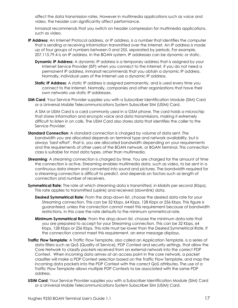affect the data transmission rates. However in multimedia applications such as voice and video, the header can significantly affect performance.

Inmarsat recommends that you switch on header compression for multimedia applications, such as video.

- **IP Address**: An Internet Protocol address, or IP address, is a number that identifies the computer that is sending or receiving information transmitted over the Internet. An IP address is made up of four groups of numbers between 0 and 255, separated by periods. For example, 207.115.79.4 is an IP address. In the BGAN system, IP addresses can be dynamic or static.
	- **Dynamic IP Address**: A dynamic IP address is a temporary address that is assigned by your Internet Service Provider (ISP) when you connect to the Internet. If you do not need a permanent IP address, Inmarsat recommends that you obtain a dynamic IP address. Normally, individual users of the Internet use a dynamic IP address.
	- **Static IP Address:** A static IP address is assigned permanently, and is used every time you connect to the Internet. Normally, companies and other organizations that have their own networks use static IP addresses.
- **SIM Card**: Your Service Provider supplies you with a Subscriber Identification Module (SIM) Card or a Universal Mobile Telecommunications System Subscriber SIM (USIM) Card.

A SIM or USIM Card is a card commonly used in a GSM phone. The card holds a microchip that stores information and encrypts voice and data transmissions, making it extremely difficult to listen in on calls. The USIM Card also stores data that identifies the caller to the Service Provider.

- **Standard Connection**: A standard connection is charged by volume of data sent. The bandwidth you are allocated depends on terminal type and network availability, but is always 'best effort', that is, you are allocated bandwidth depending on your requirements and the requirements of other users of the BGAN network, or BGAN Terminal. This connection class is suitable for most data types, other than multimedia.
- **Streaming:** A streaming connection is charged by time. You are charged for the amount of time the connection is active. Streaming enables multimedia data, such as video, to be sent in a continuous data stream and converted into sound and pictures. The bandwidth required for a streaming connection is difficult to predict, and depends on factors such as length of connection and number of receivers.
- **Symmetrical Rate**: The rate at which streaming data is transmitted, in kilobits per second (Kbps). This rate applies to transmitted (uplink) and received (downlink) data.
	- **Desired Symmetrical Rate**: From the drop-down list, choose the desired data rate for your Streaming connection. This can be 32 Kbps, 64 Kbps, 128 Kbps or 256 Kbps. This figure is guaranteed, unless the connection cannot meet this requirement because of bandwidth restrictions. In this case the rate defaults to the minimum symmetrical rate.
	- **Minimum Symmetrical Rate**: From the drop-down list, choose the minimum data rate that you are prepared to accept for your Streaming connection. This can be 32 Kbps, 64 Kbps, 128 Kbps or 256 Kbps. This rate must be lower than the Desired Symmetrical Rate. If the connection cannot meet this requirement, an error message displays.
- **Traffic Flow Template**: A Traffic Flow Template, also called an Application Template, is a series of data filters such as QoS (Quality of Service), PDP Context and security settings, that allow the Core Network to classify packets received from an external network into the correct PDP Context. When incoming data arrives at an access point in the core network, a packet classifier will make a PDP Context selection based on the Traffic Flow Template, and map the incoming data packets into the PDP Context with the correct QoS attributes. The use of a Traffic Flow Template allows multiple PDP Contexts to be associated with the same PDP address.
- **USIM Card**: Your Service Provider supplies you with a Subscriber Identification Module (SIM) Card or a Universal Mobile Telecommunications System Subscriber SIM (USIM) Card.